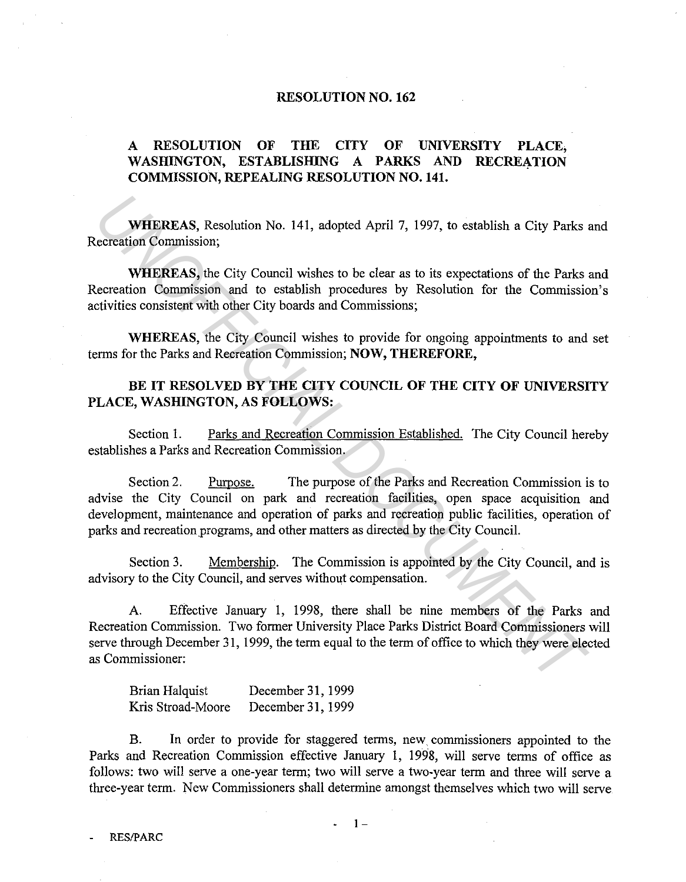## **RESOLUTION NO. 162**

## **A RESOLUTION OF THE CITY OF UNIVERSITY PLACE,**  WASHINGTON, ESTABLISHING A PARKS AND RECREATION **COMMISSION, REPEALING RESOLUTION NO. 141.**

**WHEREAS,** Resolution No. 141, adopted April 7, 1997, to establish a City Parks and Recreation Commission;

**WHEREAS,** the City Council wishes to be clear as to its expectations of the Parks and Recreation Commission and to establish procedures by Resolution for the Commission's activities consistent with other City boards and Commissions;

**WHEREAS,** the City Council wishes to provide for ongoing appointments to and set terms for the Parks and Recreation Commission; **NOW, THEREFORE,** 

## **BE IT RESOLVED BY THE CITY COUNCIL OF THE CITY OF UNIVERSITY PLACE, WASHINGTON, AS FOLLOWS:**

Section 1. Parks and Recreation Commission Established. The City Council hereby establishes a Parks and Recreation Commission.

Section2. Purpose. The purpose of the Parks and Recreation Commission is to advise the City Council on park and recreation facilities, open space acquisition and development, maintenance and operation of parks and recreation public facilities, operation of parks and recreation programs, and other matters as directed by the City Council. **WHEREAS, Resolution No. 141, adopted April 7, 1997, to establish a City Parks increasion Commission;**<br> **WHEREAS, the City Council wishes to be clear as to its expectations of the Parks increasemention Commission and to es** 

Section 3. Membership. The Commission is appointed by the City Council, and is advisory to the City Council, and serves without compensation.

A. Effective January 1, 1998, there shall be nine members of the Parks and Recreation Commission. Two former University Place Parks District Board Commissioners will serve through December 31, 1999, the term equal to the term of office to which they were elected as Commissioner:

Brian Halquist Kris Stroad-Moore December 31, 1999 December 31, 1999

B. In order to provide for staggered terms, new. commissioners appointed to the Parks and Recreation Commission effective January 1, 1998, will serve terms of office as follows: two will serve a one-year term; two will serve a two-year term and three will serve a three-year term. New Commissioners shall determine amongst themselves which two will serve

 $1 -$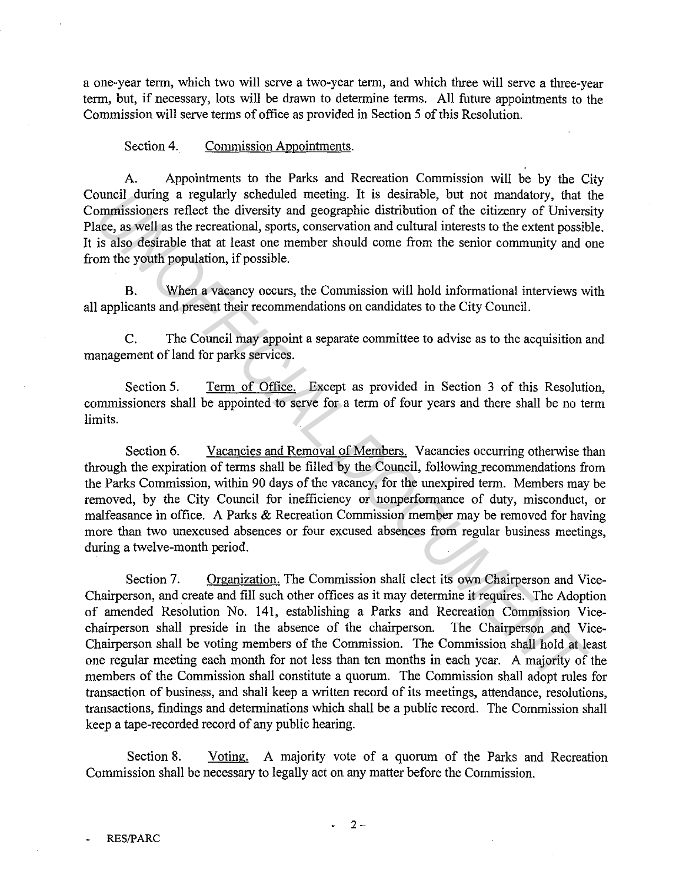a one-year term, which two will serve a two-year term, and which three will serve a three-year term, but, if necessary, lots will be drawn to determine terms. All future appointments to the Commission will serve terms of office as provided in Section 5 of this Resolution.

Section 4. Commission Appointments.

A. Appointments to the Parks and Recreation Commission will be by the City Council during a regularly scheduled meeting. It is desirable, but not mandatory, that the Commissioners reflect the diversity and geographic distribution of the citizenry of University Place, as well as the recreational, sports, conservation and cultural interests to the extent possible. It is also desirable that at least one member should come from the senior community and one from the youth population, if possible.

B. When a vacancy occurs, the Commission will hold informational interviews with all applicants and present their recommendations on candidates to the City Council.

C. The Council may appoint a separate committee to advise as to the acquisition and management of land for parks services.

Section 5. Term of Office. Except as provided in Section 3 of this Resolution, commissioners shall be appointed to serve for a term of four years and there shall be no term limits.

Section 6. Vacancies and Removal of Members. Vacancies occurring otherwise than through the expiration of terms shall be filled by the Council, following\_recommendations from the Parks Commission, within 90 days of the vacancy, for the unexpired term. Members may be removed, by the City Council for inefficiency or nonperformance of duty, misconduct, or malfeasance in office. A Parks & Recreation Commission member may be removed for having more than two unexcused absences or four excused absences from regular business meetings, during a twelve-month period.

Section 7. Organization. The Commission shall elect its own Chairperson and Vice-Chairperson, and create and fill such other offices as it may determine it requires. The Adoption of amended Resolution No. 141, establishing a Parks and Recreation Commission Vicechairperson shall preside in the absence of the chairperson. The Chairperson and Vice-Chairperson shall be voting members of the Commission. The Commission shall hold at least one regular meeting each month for not less than ten months in each year. A majority of the members of the Commission shall constitute a quorum. The Commission shall adopt rules for transaction of business, and shall keep a written record of its meetings, attendance, resolutions, transactions, findings and determinations which shall be a public record. The Commission shall keep a tape-recorded record of any public hearing. burned attempt a regulary schedular meeting, it is describte, but not mandatory, that the same, as well as the recreational, sports, conservation and cultural interests to the extent possible is also desirable that at leas

Section 8. Voting. A majority vote of a quorum of the Parks and Recreation Commission shall be necessary to legally act on any matter before the Commission.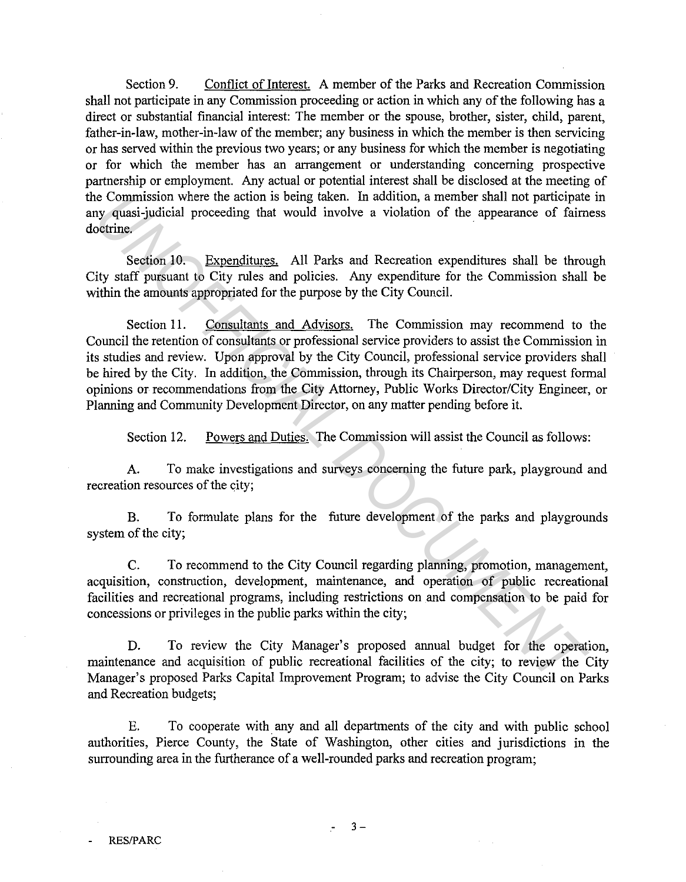Section 9. Conflict of Interest. A member of the Parks and Recreation Commission shall not participate in any Commission proceeding or action in which any of the following has a direct or substantial financial interest: The member or the spouse, brother, sister, child, parent, father-in-law, mother-in-law of the member; any business in which the member is then servicing or has served within the previous two years; or any business for which the member is negotiating or for which the member has an arrangement or understanding concerning prospective partnership or employment. Any actual or potential interest shall be disclosed at the meeting of the Commission where the action is being taken. In addition, a member shall not participate in any quasi-judicial proceeding that would involve a violation of the appearance of fairness doctrine.

Section 10. Expenditures. All Parks and Recreation expenditures shall be through City staff pursuant to City rules and policies. Any expenditure for the Commission shall be within the amounts appropriated for the purpose by the City Council.

Section 11. Consultants and Advisors. The Commission may recommend to the Council the retention of consultants or professional service providers to assist the Commission in its studies and review. Upon approval by the City Council, professional service providers shall be hired by the City. In addition, the Commission, through its Chairperson, may request formal opinions or recommendations from the City Attorney, Public Works Director/City Engineer, or Planning and Community Development Director, on any matter pending before it. E Commission where the action is being taken. In addition, a member shall not participate<br>commission where the action is being taken. In addition, a member shall not participate<br>octine.<br>Section 10. Expenditures All Parks a

Section 12. Powers and Duties. The Commission will assist the Council as follows:

A. To make investigations and surveys concerning the future park, playground and recreation resources of the city;

B. To formulate plans for the future development of the parks and playgrounds system of the city;

C. To recommend to the City Council regarding planning, promotion, management, acquisition, construction, development, maintenance, and operation of public recreational facilities and recreational programs, including restrictions on and compensation to be paid for concessions or privileges in the public parks within the city;

D. To review the City Manager's proposed annual budget for the operation, maintenance and acquisition of public recreational facilities of the city; to review the City Manager's proposed Parks Capital Improvement Program; to advise the City Council on Parks and Recreation budgets;

E. To cooperate with any and all departments of the city and with public school authorities, Pierce County, the State of Washington, other cities and jurisdictions in the surrounding area in the furtherance of a well-rounded parks and recreation program;